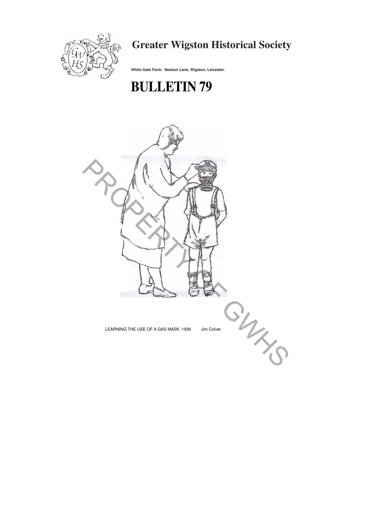

## **Greater Wigston Historical Society**

**White Gate Farm. Newton Lane, Wigston, Leicester.**

# **BULLETIN 79**

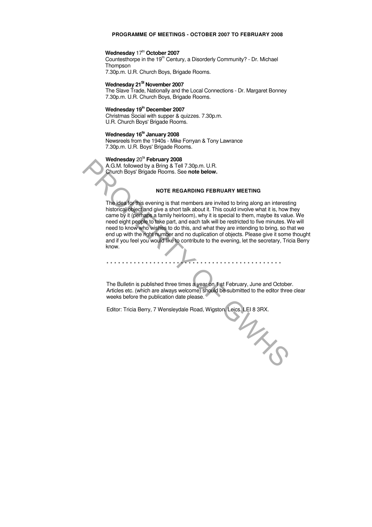#### **PROGRAMME OF MEETINGS - OCTOBER 2007 TO FEBRUARY 2008**

#### **Wednesday 17th October 2007**

Countesthorpe in the 19<sup>m</sup> Century, a Disorderly Community? - Dr. Michael Thompson 7.30p.m. U.R. Church Boys, Brigade Rooms.

### **Wednesday 21SI November 2007**

The Slave Trade, Nationally and the Local Connections - Dr. Margaret Bonney 7.30p.m. U.R. Church Boys, Brigade Rooms.

#### **Wednesday 19in December 2007**

The idea for this evening is that members are invited to bring along an interesting historical object and give a short talk about it. This could involve what it is, how they came by it (perhaps a family heirloom), why it is special to them, maybe its value. We need eight people to take part, and each talk will be restricted to five minutes. We will need to know who wishes to do this, and what they are intending to bring, so that we end up with the right number and no duplication of objects. Please give it some thought and if you feel you would like to contribute to the evening, let the secretary, Tricia Berry know. Wednesday 20 **Feorial Young 2008**<br>
A.G.M. followed by a Bring 8. Tell 7.30p.m. U.R.<br>
Church Boys' Brigade Rooms. See **note below.**<br>
NOTE REGARDING FEBRUARY MEETING<br>
The idea for this event given a short talk about it. This

Christmas Social with supper & quizzes. 7.30p.m. U.R. Church Boys' Brigade Rooms.

#### **Wednesday 16ta January 2008**

Newsreels from the 1940s - Mike Forryan & Tony Lawrance 7.30p.m. U.R. Boys' Brigade Rooms.

#### **Wednesday** 20ta **February 2008**

A.G.M. followed by a Bring & Tell 7.30p.m. U.R. Church Boys' Brigade Rooms. See **note below.**

#### **NOTE REGARDING FEBRUARY MEETING**

\* \* \* \* \* \* \* \* \* \* \* \* \* \* \* \* \* \* \* \* \* \* \* \* \* \* \* \* \* \* \* \* \* \* \* \* \* \* \* \* \* \* \* \* \*

The Bulletin is published three times a year on 1 st February, June and October. Articles etc. (which are always welcome) should be submitted to the editor three clear weeks before the publication date please.

Editor: Tricia Berry, 7 Wensleydale Road, Wigston. Leics. LEI 8 3RX.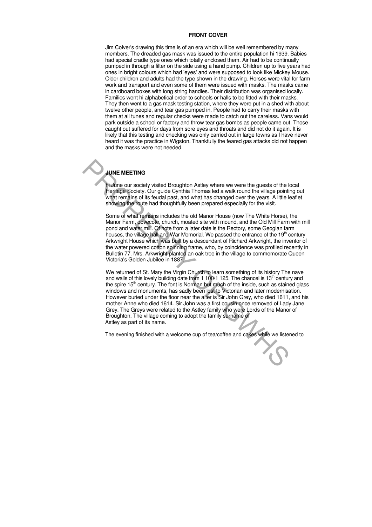#### **FRONT COVER**

Jim Colver's drawing this time is of an era which will be well remembered by many members. The dreaded gas mask was issued to the entire population hi 1939. Babies had special cradle type ones which totally enclosed them. Air had to be continually pumped in through a filter on the side using a hand pump. Children up to five years had ones in bright colours which had 'eyes' and were supposed to look like Mickey Mouse. Older children and adults had the type shown in the drawing. Horses were vital for farm work and transport and even some of them were issued with masks. The masks came in cardboard boxes with long string handles. Their distribution was organised locally. Families went hi alphabetical order to schools or halls to be fitted with their masks. They then went to a gas mask testing station, where they were put in a shed with about twelve other people, and tear gas pumped in. People had to carry their masks with them at all tunes and regular checks were made to catch out the careless. Vans would park outside a school or factory and throw tear gas bombs as people came out. Those caught out suffered for days from sore eyes and throats and did not do it again. It is likely that this testing and checking was only carried out in large towns as I have never heard it was the practice in Wigston. Thankfully the feared gas attacks did not happen and the masks were not needed.

We returned of St. Mary the Virgin Church to learn something of its history The nave and walls of this lovely building date from 1 100/1 125. The chancel is 13<sup>th</sup> century and the spire  $15<sup>th</sup>$  century. The font is Norman but much of the inside, such as stained glass windows and monuments, has sadly been lost to Victorian and later modernisation. However buried under the floor near the alter is Sir John Grey, who died 1611, and his mother Anne who died 1614. Sir John was a first cousin once removed of Lady Jane Grey. The Greys were related to the Astley family who were Lords of the Manor of Broughton. The village coming to adopt the family surname of Astley as part of its name. JUNE MEETING<br>
Holdroge Society visited Broughton Astley where we were the guests of the lift<br>
divideo Society. Our guide Cynthia Thomas led a walk round the village point<br>
whiat remains of its feudal past, and what has cha

#### **JUNE MEETING**

hi June our society visited Broughton Astley where we were the guests of the local Heritage Society. Our guide Cynthia Thomas led a walk round the village pointing out what remains of its feudal past, and what has changed over the years. A little leaflet showing the route had thoughtfully been prepared especially for the visit.

Some of what remains includes the old Manor House (now The White Horse), the Manor Farm, dovecote, church, moated site with mound, and the Old Mill Farm with mill pond and water mill. Of note from a later date is the Rectory, some Geogian farm houses, the village hall and War Memorial. We passed the entrance of the 19<sup>th</sup> century Arkwright House which was built by a descendant of Richard Arkwright, the inventor of the water powered cotton spinning frame, who, by coincidence was profiled recently in Bulletin 77. Mrs. Arkwright planted an oak tree in the village to commemorate Queen Victoria's Golden Jubilee in 1887.

The evening finished with a welcome cup of tea/coffee and cakes while we listened to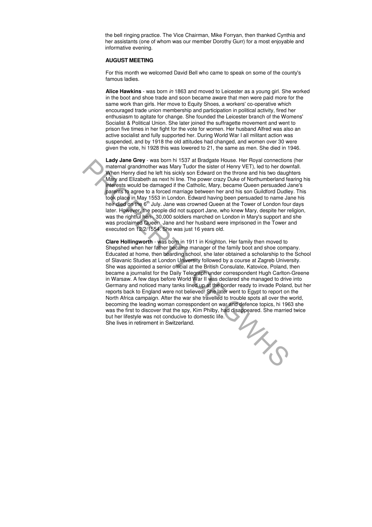the bell ringing practice. The Vice Chairman, Mike Forryan, then thanked Cynthia and her assistants (one of whom was our member Dorothy Gurr) for a most enjoyable and informative evening.

#### **AUGUST MEETING**

For this month we welcomed David Bell who came to speak on some of the county's famous ladies.

**Alice Hawkins** - was born in 1863 and moved to Leicester as a young girl. She worked in the boot and shoe trade and soon became aware that men were paid more for the same work than girls. Her move to Equity Shoes, a workers' co-operative which encouraged trade union membership and participation in political activity, fired her enthusiasm to agitate for change. She founded the Leicester branch of the Womens' Socialist & Political Union. She later joined the suffragette movement and went to prison five times in her fight for the vote for women. Her husband Alfred was also an active socialist and fully supported her. During World War I all militant action was suspended, and by 1918 the old attitudes had changed, and women over 30 were given the vote, hi 1928 this was lowered to 21, the same as men. She died in 1946.

**Clare Hollingworth** - was born in 1911 in Knighton. Her family then moved to Shepshed when her father became manager of the family boot and shoe company. Educated at home, then boarding school, she later obtained a scholarship to the School of Slavanic Studies at London University followed by a course at Zagreb University. She was appointed a senior official at the British Consulate, Katovice, Poland, then became a journalist for the Daily Telegraph under correspondent Hugh Carlton-Greene in Warsaw. A few days before World War II was declared she managed to drive into Germany and noticed many tanks lined up at the border ready to invade Poland, but her reports back to England were not believed! She later went to Egypt to report on the North Africa campaign. After the war she travelled to trouble spots all over the world, becoming the leading woman correspondent on war and defence topics, hi 1963 she was the first to discover that the spy, Kim Philby, had disappeared. She married twice<br>but her lifestyle was not conducive to domestic life.<br>She lives in retirement in Switzerland. but her lifestyle was not conducive to domestic life. She lives in retirement in Switzerland. Ladder are the state with 1537 at Bradgate House. Her Royal connections<br>
when Henry VET), led to her down<br>
When Henry WET, aled to the stare of them; yet and his welt and his welt and his welt and his most of the method of

**Lady Jane Grey** - was born hi 1537 at Bradgate House. Her Royal connections (her maternal grandmother was Mary Tudor the sister of Henry VET), led to her downfall. When Henry died he left his sickly son Edward on the throne and his two daughters Mary and Elizabeth as next hi line. The power crazy Duke of Northumberland fearing his interests would be damaged if the Catholic, Mary, became Queen persuaded Jane's parents to agree to a forced marriage between her and his son Guildford Dudley. This took place in May 1553 in London. Edward having been persuaded to name Jane his heir died on the  $6<sup>th</sup>$  July. Jane was crowned Queen at the Tower of London four days later. However, the people did not support Jane, who knew Mary, despite her religion, was the rightful hen-. 30,000 soldiers marched on London in Mary's support and she was proclaimed Queen. Jane and her husband were imprisoned in the Tower and executed on 12/2/1554. She was just 16 years old.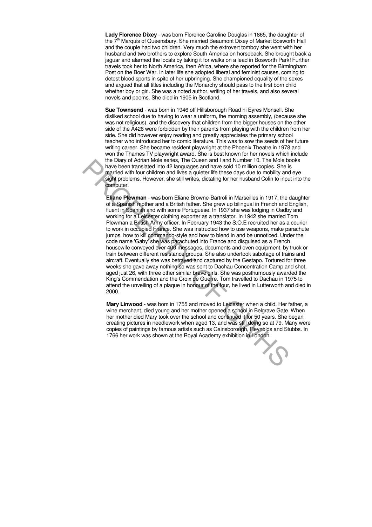**Lady Florence Dixey** - was born Florence Caroline Douglas in 1865, the daughter of the  $7<sup>m</sup>$  Marquis of Queensbury. She married Beaumont Dixey of Market Bosworth Hall and the couple had two children. Very much the extrovert tomboy she went with her husband and two brothers to explore South America on horseback. She brought back a jaguar and alarmed the locals by taking it for walks on a lead in Bosworth Park! Further travels took her to North America, then Africa, where she reported for the Birmingham Post on the Boer War. In later life she adopted liberal and feminist causes, coming to detest blood sports in spite of her upbringing. She championed equality of the sexes and argued that all titles including the Monarchy should pass to the first born child whether boy or girl. She was a noted author, writing of her travels, and also several novels and poems. She died in 1905 in Scotland.

**Eliane Plewman** - was born Eliane Browne-Bartroli in Marseilles in 1917, the daughter of a Spanish mother and a British father. She grew up bilingual in French and English, fluent in Spanish and with some Portuguese. In 1937 she was lodging in Oadby and working for a Leicester clothing exporter as a translator. In 1942 she married Tom Plewman a British Army officer. In February 1943 the S.O.E recruited her as a courier to work in occupied France. She was instructed how to use weapons, make parachute jumps, how to kill commando-style and how to blend in and be unnoticed. Under the code name 'Gaby' she was parachuted into France and disguised as a French housewife conveyed over 400 messages, documents and even equipment, by truck or train between different resistance groups. She also undertook sabotage of trains and aircraft. Eventually she was betrayed and captured by the Gestapo. Tortured for three weeks she gave away nothing so was sent to Dachau Concentration Camp and shot, aged just 26, with three other similar brave girls. She was posthumously awarded the King's Commendation and the Croix de Guerre. Tom travelled to Dachau in 1975 to attend the unveiling of a plaque in honour of the four, he lived in Lutterworth and died in 2000. the Ulary of Adram Mole senes. The Queen and I and Number 10. Ine Mole border and Harvard White the Ulary and the Ulary and the Ulary of Advance of the Mole border of the Mole border significant with four children and live

**Sue Townsend** - was born in 1946 off Hillsborough Road hi Eyres Monsell. She disliked school due to having to wear a uniform, the morning assembly, (because she was not religious), and the discovery that children from the bigger houses on the other side of the A426 were forbidden by their parents from playing with the children from her side. She did however enjoy reading and greatly appreciates the primary school teacher who introduced her to comic literature. This was to sow the seeds of her future writing career. She became resident playwright at the Phoenix Theatre in 1978 and won the Thames TV playwright award. She is best known for her novels which include the Diary of Adrian Mole series, The Queen and I and Number 10. The Mole books have been translated into 42 languages and have sold 10 million copies. She is married with four children and lives a quieter life these days due to mobility and eye sight problems. However, she still writes, dictating for her husband Colin to input into the computer.

**Mary Linwood** - was bom in 1755 and moved to Leicester when a child. Her father, a wine merchant, died young and her mother opened a school in Belgrave Gate. When her mother died Mary took over the school and continued it for 50 years. She began creating pictures in needlework when aged 13, and was still doing so at 79. Many were copies of paintings by famous artists such as Gainsborough, Reynolds and Stubbs. In 1766 her work was shown at the Royal Academy exhibition in London.

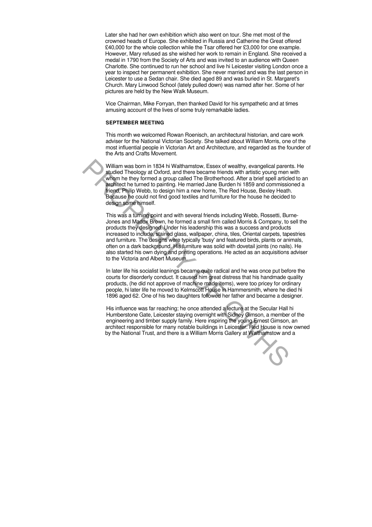Later she had her own exhibition which also went on tour. She met most of the crowned heads of Europe. She exhibited in Russia and Catherine the Great offered £40,000 for the whole collection while the Tsar offered her £3,000 for one example. However, Mary refused as she wished her work to remain in England. She received a medal in 1790 from the Society of Arts and was invited to an audience with Queen Charlotte. She continued to run her school and live hi Leicester visiting London once a year to inspect her permanent exhibition. She never married and was the last person in Leicester to use a Sedan chair. She died aged 89 and was buried in St. Margaret's Church. Mary Linwood School (lately pulled down) was named after her. Some of her pictures are held by the New Walk Museum.

Vice Chairman, Mike Forryan, then thanked David for his sympathetic and at times amusing account of the lives of some truly remarkable ladies.

This was a turning point and with several friends including Webb, Rossetti, Burne-Jones and Madox Brown, he formed a small firm called Morris & Company, to sell the products they designed. Under his leadership this was a success and products increased to include, stained glass, wallpaper, china, tiles, Oriental carpets, tapestries and furniture. The designs were typically 'busy' and featured birds, plants or animals, often on a dark background. His furniture was solid with dovetail joints (no nails). He also started his own dying and printing operations. He acted as an acquisitions adviser to the Victoria and Albert Museum. William was born in 1834 hi Walthamstow, Essex of wealthy, evangelical parent<br>subject Theology at Oxford, and three became friends with artistic young men<br>switch the turned to painting. He married Jane Burden hi 1859 and c

#### **SEPTEMBER MEETING**

This month we welcomed Rowan Roenisch, an architectural historian, and care work adviser for the National Victorian Society. She talked about William Morris, one of the most influential people in Victorian Art and Architecture, and regarded as the founder of the Arts and Crafts Movement.

In later life his socialist leanings became quite radical and he was once put before the courts for disorderly conduct. It caused him great distress that his handmade quality products, (he did not approve of machine made items), were too pricey for ordinary people, hi later life he moved to Kelmscott House in Hammersmith, where he died hi 1896 aged 62. One of his two daughters followed her father and became a designer.

William was born in 1834 hi Walthamstow, Essex of wealthy, evangelical parents. He studied Theology at Oxford, and there became friends with artistic young men with whom he they formed a group called The Brotherhood. After a brief spell articled to an architect he turned to painting. He married Jane Burden hi 1859 and commissioned a friend, Philip Webb, to design him a new home, The Red House, Bexley Heath. Because he could not find good textiles and furniture for the house he decided to design some himself.

His influence was far reaching; he once attended a lecture at the Secular Hall hi Humberstone Gate, Leicester staying overnight with Sidney Gimson, a member of the engineering and timber supply family. Here inspiring the young Ernest Gimson, an architect responsible for many notable buildings in Leicester. Red House is now owned by the National Trust, and there is a William Morris Gallery at Walthamstow and a

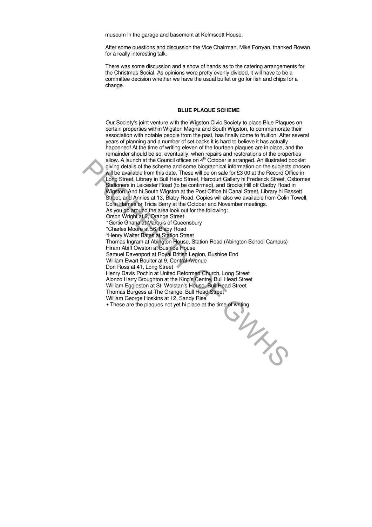museum in the garage and basement at Kelmscott House.

After some questions and discussion the Vice Chairman, Mike Forryan, thanked Rowan for a really interesting talk.

Our Society's joint venture with the Wigston Civic Society to place Blue Plaques on certain properties within Wigston Magna and South Wigston, to commemorate their association with notable people from the past, has finally come to fruition. After several years of planning and a number of set backs it is hard to believe it has actually happened! At the time of writing eleven of the fourteen plaques are in place, and the remainder should be so, eventually, when repairs and restorations of the properties allow. A launch at the Council offices on  $4<sup>th</sup>$  October is arranged. An illustrated booklet giving details of the scheme and some biographical information on the subjects chosen will be available from this date. These will be on sale for £3 00 at the Record Office in Long Street, Library in Bull Head Street, Harcourt Gallery hi Frederick Street, Osbornes Stationers in Leicester Road (to be confirmed), and Brocks Hill off Oadby Road in Wigston. And hi South Wigston at the Post Office hi Canal Street, Library hi Bassett Street, and Annies at 13, Blaby Road. Copies will also we available from Colin Towell, Colin Hames or Tricia Berry at the October and November meetings. As you go around the area look out for the following: Orson Wright at 2, Orange Street \* Gertie Ghana at Marquis of Queensbury \*Charles Moore at 56, Blaby Road \*Henry Walter Bates at Station Street Thomas Ingram at Abington House, Station Road (Abington School Campus) Hiram Abiff Owston at Bushloe House Samuel Davenport at Royal British Legion, Bushloe End William Ewart Boulter at 9, Central Avenue Don Ross at 41, Long Street Henry Davis Pochin at United Reformed Church, Long Street Alonzo Harry Broughton at the King's Centre, Bull Head Street William Eggleston at St. Wolstan's House, Bull Head Street Thomas Burgess at The Grange, Bull Head Street William George Hoskins at 12, Sandy Rise • These are the plaques not yet hi place at the time of writing. PROPERTY OF GWHS

There was some discussion and a show of hands as to the catering arrangements for the Christmas Social. As opinions were pretty evenly divided, it will have to be a committee decision whether we have the usual buffet or go for fish and chips for a change.

#### **BLUE PLAQUE SCHEME**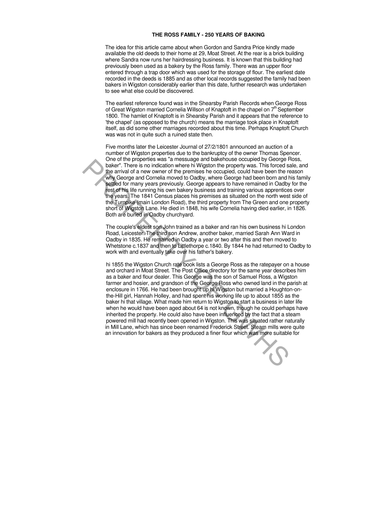#### **THE ROSS FAMILY - 250 YEARS OF BAKING**

The idea for this article came about when Gordon and Sandra Price kindly made available the old deeds to their home at 29, Moat Street. At the rear is a brick building where Sandra now runs her hairdressing business. It is known that this building had previously been used as a bakery by the Ross family. There was an upper floor entered through a trap door which was used for the storage of flour. The earliest date recorded in the deeds is 1885 and as other local records suggested the family had been bakers in Wigston considerably earlier than this date, further research was undertaken to see what else could be discovered.

The earliest reference found was in the Shearsby Parish Records when George Ross of Great Wigston married Cornelia Willson of Knaptoft in the chapel on 7<sup>th</sup> September 1800. The hamlet of Knaptoft is in Shearsby Parish and it appears that the reference to 'the chapel' (as opposed to the church) means the marriage took place in Knaptoft itself, as did some other marriages recorded about this time. Perhaps Knaptoft Church was was not in quite such a ruined state then.

hi 1855 the Wigston Church rate book lists a George Ross as the ratepayer on a house and orchard in Moat Street. The Post Office directory for the same year describes him as a baker and flour dealer. This George was the son of Samuel Ross, a Wigston farmer and hosier, and grandson of the George Ross who owned land in the parish at enclosure in 1766. He had been brought up hi Wigston but married a Houghton-onthe-Hill girl, Hannah Holley, and had spent his working life up to about 1855 as the baker hi that village. What made him return to Wigston to start a business in later life when he would have been aged about 64 is not known, though he could perhaps have inherited the property. He could also have been influenced by the fact that a steam powered mill had recently been opened in Wigston. This was situated rather naturally in Mill Lane, which has since been renamed Frederick Street. Steam mills were quite an innovation for bakers as they produced a finer flour which was more suitable for There is no individual where hit wiggion the property was. This forced as<br>the larity of the private of a new control in the present of the property was. This forced as<br>the carrier of the private of a new control of a new c



Five months later the Leicester Journal of 27/2/1801 announced an auction of a number of Wigston properties due to the bankruptcy of the owner Thomas Spencer. One of the properties was "a messuage and bakehouse occupied by George Ross, baker". There is no indication where hi Wigston the property was. This forced sale, and the arrival of a new owner of the premises he occupied, could have been the reason why George and Cornelia moved to Oadby, where George had been born and his family settled for many years previously. George appears to have remained in Oadby for the rest of his life running his own bakery business and training various apprentices over the years. The 1841 Census places his premises as situated on the north west side of the Turnpike (main London Road), the third property from The Green and one property short of Wigston Lane. He died in 1848, his wife Cornelia having died earlier, in 1826. Both are buried in Oadby churchyard.

The couple's eldest son John trained as a baker and ran his own business hi London Road, Leicester. The third son Andrew, another baker, married Sarah Ann Ward in Oadby in 1835. He remained in Oadby a year or two after this and then moved to Whetstone c.1837 and then to Littlethorpe c.1840. By 1844 he had returned to Oadby to work with and eventually take over his father's bakery.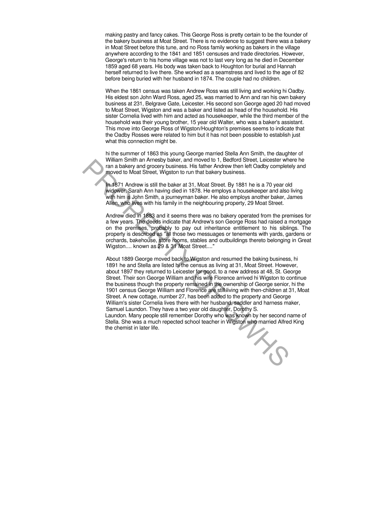making pastry and fancy cakes. This George Ross is pretty certain to be the founder of the bakery business at Moat Street. There is no evidence to suggest there was a bakery in Moat Street before this tune, and no Ross family working as bakers in the village anywhere according to the 1841 and 1851 censuses and trade directories. However, George's return to his home village was not to last very long as he died in December 1859 aged 68 years. His body was taken back to Houghton for burial and Hannah herself returned to live there. She worked as a seamstress and lived to the age of 82 before being buried with her husband in 1874. The couple had no children.

When the 1861 census was taken Andrew Ross was still living and working hi Oadby. His eldest son John Ward Ross, aged 25, was married to Ann and ran his own bakery business at 231, Belgrave Gate, Leicester. His second son George aged 20 had moved to Moat Street, Wigston and was a baker and listed as head of the household. His sister Cornelia lived with him and acted as housekeeper, while the third member of the household was their young brother, 15 year old Walter, who was a baker's assistant. This move into George Ross of Wigston/Houghton's premises seems to indicate that the Oadby Rosses were related to him but it has not been possible to establish just what this connection might be.

About 1889 George moved back to Wigston and resumed the baking business, hi 1891 he and Stella are listed hi the census as living at 31, Moat Street. However, about 1897 they returned to Leicester for good, to a new address at 48, St. George Street. Their son George William and his wife Florence arrived hi Wigston to continue the business though the property remained in the ownership of George senior, hi the 1901 census George William and Florence are still living with then-children at 31, Moat Street. A new cottage, number 27, has been added to the property and George William's sister Cornelia lives there with her husband, saddler and harness maker, Samuel Laundon. They have a two year old daughter, Dorothy S. Laundon. Many people still remember Dorothy who was known by her second name of Stella. She was a much repected school teacher in Wigston who married Alfred King<br>the chemist in later life. the chemist in later life. what small an Amesoy baser, and mowed to 1, become articles there will also the small and the street. There are the small and the street will be baser at 31, Moat Street. By 1881 he is a 70 year old widower, Sarah Am havin

hi the summer of 1863 this young George married Stella Ann Smith, the daughter of William Smith an Arnesby baker, and moved to 1, Bedford Street, Leicester where he ran a bakery and grocery business. His father Andrew then left Oadby completely and moved to Moat Street, Wigston to run that bakery business.

In 1871 Andrew is still the baker at 31, Moat Street. By 1881 he is a 70 year old widower, Sarah Ann having died in 1878. He employs a housekeeper and also living with him is John Smith, a journeyman baker. He also employs another baker, James Allen, who lives with his family in the neighbouring property, 29 Moat Street.

Andrew died in 1883 and it seems there was no bakery operated from the premises for a few years. The deeds indicate that Andrew's son George Ross had raised a mortgage on the premises, probably to pay out inheritance entitlement to his siblings. The property is described as "all those two messuages or tenements with yards, gardens or orchards, bakehouse, store rooms, stables and outbuildings thereto belonging in Great Wigston.... known as 29 & 31 Moat Street...."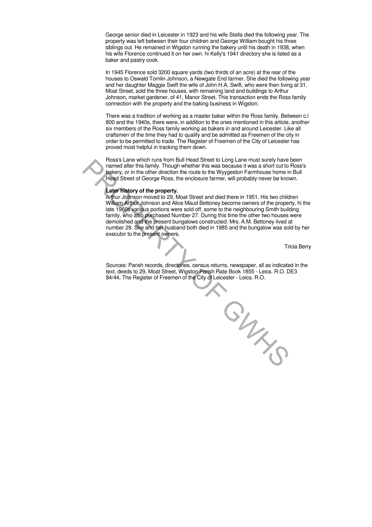George senior died in Leicester in 1923 and his wife Stella died the following year. The property was left between their four children and George William bought his three siblings out. He remained in Wigston running the bakery until his death in 1938, when his wife Florence continued it on her own. hi Kelly's 1941 directory she is listed as a baker and pastry cook.

In 1945 Florence sold 3200 square yards (two thirds of an acre) at the rear of the houses to Oswald Tomlin Johnson, a Newgate End farmer. She died the following year and her daughter Maggie Swift the wife of John H.A. Swift, who were then living at 31, Moat Street, sold the three houses, with remaining land and buildings to Arthur Johnson, market gardener, of 41, Manor Street. This transaction ends the Ross family connection with the property and the baking business in Wigston.

There was a tradition of working as a master baker within the Ross family. Between c.l 800 and the 1940s, there were, in addition to the ones mentioned in this article, another six members of the Ross family working as bakers in and around Leicester. Like all craftsmen of the time they had to qualify and be admitted as Freemen of the city in order to be permitted to trade. The Register of Freemen of the City of Leicester has proved most helpful in tracking them down.

Ross's Lane which runs from Bull Head Street to Long Lane must surely have been named after this family. Though whether this was because it was a short cut to Ross's bakery, or in the other direction the route to the Wyygeston Farmhouse home in Bull Head Street of George Ross, the enclosure farmer, will probably never be known.

#### **Later history of the property.**

Arthur Johnson moved to 29, Moat Street and died there in 1951. His two children William Arthur Johnson and Alice Maud Bettoney become owners of the property, hi the late 1960s various portions were sold off, some to the neighbouring Smith building family, who also purchased Number 27. During this time the other two houses were demolished and the present bungalows constructed. Mrs. A.M. Bettoney lived at number 29. She and her husband both died in 1985 and the bungalow was sold by her executor to the present owners.

Tricia Berry

Sources: Parish records, directories, census returns, newspaper, all as indicated in the text, deeds to 29, Moat Street, Wigston Parish Rate Book 1855 - Leics. R.O. DE3 84/44, The Register of Freemen of the City of Leicester - Leics. R.O.

 $P_{Z_{\chi}}$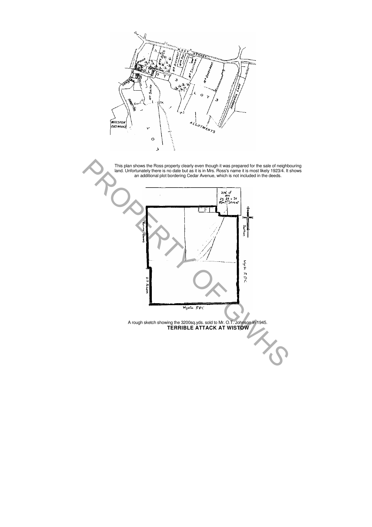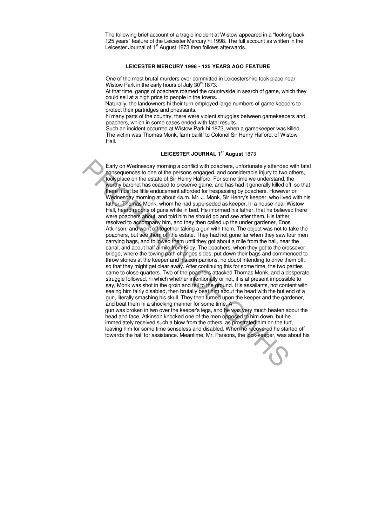One of the most brutal murders ever committed in Leicestershire took place near Wistow Park in the early hours of July  $30<sup>th</sup>$  1873.

The following brief account of a tragic incident at Wistow appeared in a "looking back 125 years" feature of the Leicester Mercury hi 1998. The full account as written in the Leicester Journal of 1<sup>st</sup> August 1873 then follows afterwards.

#### **LEICESTER MERCURY 1998 - 125 YEARS AGO FEATURE**

At that time, gangs of poachers roamed the countryside in search of game, which they could sell at a high price to people in the towns.

Early on Wednesday morning a conflict with poachers, unfortunately attended with fatal consequences to one of the persons engaged, and considerable injury to two others, took place on the estate of Sir Henry Halford. For some time we understand, the worthy baronet has ceased to preserve game, and has had it generally killed off, so that there must be little enducement afforded for trespassing by poachers. However on Wednesday morning at about 4a.m. Mr. J. Monk, Sir Henry's keeper, who lived with his father, Thomas Monk, whom he had superseded as keeper, hi a house near Wistow Hall, heard reports of guns while in bed. He informed his father, that he believed there were poachers about, and told him he should go and see after them. His father resolved to accompany him, and they then called up the under gardener, Enos Atkinson, and went off together taking a gun with them. The object was not to take the poachers, but see them off the estate. They had not gone far when they saw four men carrying bags, and followed them until they got about a mile from the hall, near the canal, and about half a mile from Kilby. The poachers, when they got to the crossover bridge, where the towing path changes sides, put down their bags and commenced to throw stones at the keeper and his companions, no doubt intending to drive them off, so that they might get clear away. After continuing this for some time, the two parties came to close quarters. Two of the poachers attacked Thomas Monk, and a desperate struggle followed, hi which whether intentionally or not, it is at present impossible to say, Monk was shot in the groin and fell to the ground. His assailants, not content with seeing him fairly disabled, then brutally beat him about the head with the but end of a gun, literally smashing his skull. They then turned upon the keeper and the gardener, and beat them hi a shocking manner for some time. A gun was broken in two over the keeper's legs, and he was very much beaten about the Early on Wednesday morning a conflict with poachers, unfortunately attended<br>sonsequences to one of the persons engaged, and considerable injury to two<br>cost place on the estate of Sir Henry Halford. For some time we underst

Naturally, the landowners hi their turn employed large numbers of game keepers to protect their partridges and pheasants.

hi many parts of the country, there were violent struggles between gamekeepers and poachers, which in some cases ended with fatal results.

Such an incident occurred at Wistow Park hi 1873, when a gamekeeper was killed. The victim was Thomas Monk, farm bailiff to Colonel Sir Henry Halford, of Wistow Hall.

#### **LEICESTER JOURNAL 1st August** 1873

head and face. Atkinson knocked one of the men opposed to him down, but he immediately received such a blow from the others, as prostrated him on the turf, leaving him for some time senseless and disabled. When he recovered he started off towards the hall for assistance. Meantime, Mr. Parsons, the lock-keeper, was about his